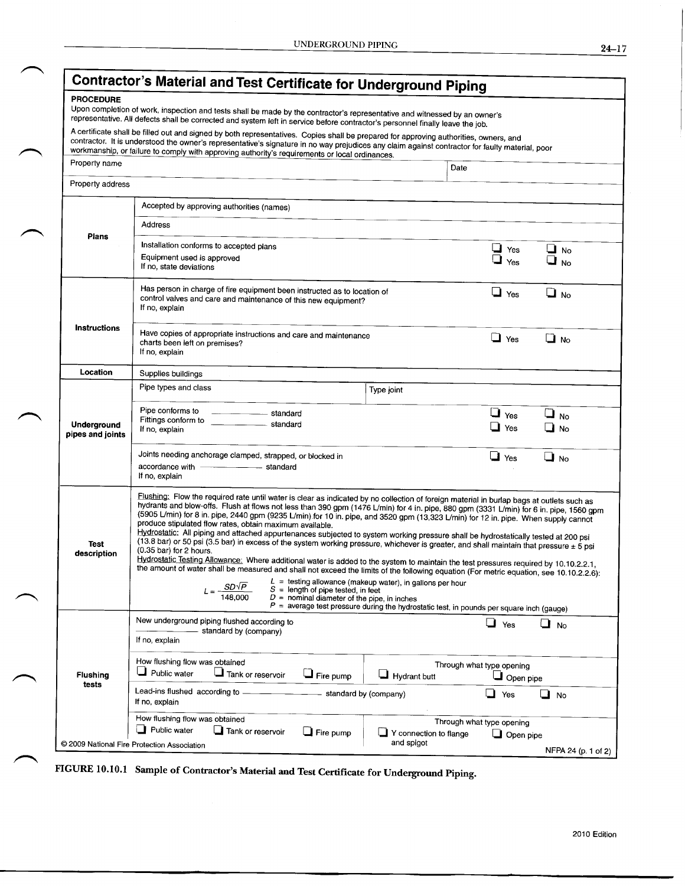|--|--|--|

| <b>PROCEDURE</b>                | Upon completion of work, inspection and tests shall be made by the contractor's representative and witnessed by an owner's<br>representative. All defects shall be corrected and system left in service before contractor's personnel finally leave the job.                                                                                                                                                                                                                                                                                                                                                                                                                                                                                                                                                                                                                                                                                                                                                                                                                                                                                                                                                                                                                                                                                                 |            |                                               |                        |  |  |  |  |
|---------------------------------|--------------------------------------------------------------------------------------------------------------------------------------------------------------------------------------------------------------------------------------------------------------------------------------------------------------------------------------------------------------------------------------------------------------------------------------------------------------------------------------------------------------------------------------------------------------------------------------------------------------------------------------------------------------------------------------------------------------------------------------------------------------------------------------------------------------------------------------------------------------------------------------------------------------------------------------------------------------------------------------------------------------------------------------------------------------------------------------------------------------------------------------------------------------------------------------------------------------------------------------------------------------------------------------------------------------------------------------------------------------|------------|-----------------------------------------------|------------------------|--|--|--|--|
|                                 | A certificate shall be filled out and signed by both representatives. Copies shall be prepared for approving authorities, owners, and<br>contractor. It is understood the owner's representative's signature in no way prejudices any claim against contractor for faulty material, poor<br>workmanship, or failure to comply with approving authority's requirements or local ordinances.                                                                                                                                                                                                                                                                                                                                                                                                                                                                                                                                                                                                                                                                                                                                                                                                                                                                                                                                                                   |            |                                               |                        |  |  |  |  |
| Property name                   |                                                                                                                                                                                                                                                                                                                                                                                                                                                                                                                                                                                                                                                                                                                                                                                                                                                                                                                                                                                                                                                                                                                                                                                                                                                                                                                                                              | Date       |                                               |                        |  |  |  |  |
| Property address                |                                                                                                                                                                                                                                                                                                                                                                                                                                                                                                                                                                                                                                                                                                                                                                                                                                                                                                                                                                                                                                                                                                                                                                                                                                                                                                                                                              |            |                                               |                        |  |  |  |  |
|                                 | Accepted by approving authorities (names)                                                                                                                                                                                                                                                                                                                                                                                                                                                                                                                                                                                                                                                                                                                                                                                                                                                                                                                                                                                                                                                                                                                                                                                                                                                                                                                    |            |                                               |                        |  |  |  |  |
| Plans                           | Address                                                                                                                                                                                                                                                                                                                                                                                                                                                                                                                                                                                                                                                                                                                                                                                                                                                                                                                                                                                                                                                                                                                                                                                                                                                                                                                                                      |            |                                               |                        |  |  |  |  |
|                                 | Installation conforms to accepted plans                                                                                                                                                                                                                                                                                                                                                                                                                                                                                                                                                                                                                                                                                                                                                                                                                                                                                                                                                                                                                                                                                                                                                                                                                                                                                                                      |            | $\Box$ Yes                                    | $\Box$ No              |  |  |  |  |
|                                 | Equipment used is approved<br>If no, state deviations                                                                                                                                                                                                                                                                                                                                                                                                                                                                                                                                                                                                                                                                                                                                                                                                                                                                                                                                                                                                                                                                                                                                                                                                                                                                                                        | ⊔<br>Yes   | $\Box$ No                                     |                        |  |  |  |  |
|                                 | Has person in charge of fire equipment been instructed as to location of<br>control valves and care and maintenance of this new equipment?<br>If no, explain                                                                                                                                                                                                                                                                                                                                                                                                                                                                                                                                                                                                                                                                                                                                                                                                                                                                                                                                                                                                                                                                                                                                                                                                 |            | $\Box$ Yes                                    | $\Box$ No              |  |  |  |  |
| <b>Instructions</b>             | Have copies of appropriate instructions and care and maintenance<br>charts been left on premises?<br>If no, explain                                                                                                                                                                                                                                                                                                                                                                                                                                                                                                                                                                                                                                                                                                                                                                                                                                                                                                                                                                                                                                                                                                                                                                                                                                          | $\Box$ Yes | $\Box$ No                                     |                        |  |  |  |  |
| Location                        | Supplies buildings                                                                                                                                                                                                                                                                                                                                                                                                                                                                                                                                                                                                                                                                                                                                                                                                                                                                                                                                                                                                                                                                                                                                                                                                                                                                                                                                           |            |                                               |                        |  |  |  |  |
| Underground<br>pipes and joints | Pipe types and class<br>Type joint                                                                                                                                                                                                                                                                                                                                                                                                                                                                                                                                                                                                                                                                                                                                                                                                                                                                                                                                                                                                                                                                                                                                                                                                                                                                                                                           |            |                                               |                        |  |  |  |  |
|                                 | Pipe conforms to<br>standard<br>Fittings conform to<br>standard<br>If no, explain                                                                                                                                                                                                                                                                                                                                                                                                                                                                                                                                                                                                                                                                                                                                                                                                                                                                                                                                                                                                                                                                                                                                                                                                                                                                            |            | $\Box$ Yes<br>$\Box$ Yes                      | $\Box$ No<br>$\Box$ No |  |  |  |  |
|                                 | Joints needing anchorage clamped, strapped, or blocked in<br>accordance with - - - - - - standard<br>If no, explain                                                                                                                                                                                                                                                                                                                                                                                                                                                                                                                                                                                                                                                                                                                                                                                                                                                                                                                                                                                                                                                                                                                                                                                                                                          |            | $\Box$ Yes                                    | $\Box$ No              |  |  |  |  |
| Test<br>description             | Flushing: Flow the required rate until water is clear as indicated by no collection of foreign material in burlap bags at outlets such as<br>hydrants and blow-offs. Flush at flows not less than 390 gpm (1476 L/min) for 4 in. pipe, 880 gpm (3331 L/min) for 6 in. pipe, 1560 gpm<br>(5905 L/min) for 8 in. pipe, 2440 gpm (9235 L/min) for 10 in. pipe, and 3520 gpm (13,323 L/min) for 12 in. pipe. When supply cannot<br>produce stipulated flow rates, obtain maximum available.<br>Hydrostatic: All piping and attached appurtenances subjected to system working pressure shall be hydrostatically tested at 200 psi<br>(13.8 bar) or 50 psi (3.5 bar) in excess of the system working pressure, whichever is greater, and shall maintain that pressure ± 5 psi<br>(0.35 bar) for 2 hours.<br>Hydrostatic Testing Allowance: Where additional water is added to the system to maintain the test pressures required by 10.10.2.2.1,<br>the amount of water shall be measured and shall not exceed the limits of the following equation (For metric equation, see 10.10.2.2.6):<br>$L =$ testing allowance (makeup water), in gallons per hour<br>$SD\sqrt{P}$<br>$S =$ length of pipe tested, in feet<br>$D =$ nominal diameter of the pipe, in inches<br>$P =$ average test pressure during the hydrostatic test, in pounds per square inch (gauge) |            |                                               |                        |  |  |  |  |
|                                 | New underground piping flushed according to                                                                                                                                                                                                                                                                                                                                                                                                                                                                                                                                                                                                                                                                                                                                                                                                                                                                                                                                                                                                                                                                                                                                                                                                                                                                                                                  |            |                                               |                        |  |  |  |  |
| Flushing<br>tests               | standard by (company)<br>If no, explain                                                                                                                                                                                                                                                                                                                                                                                                                                                                                                                                                                                                                                                                                                                                                                                                                                                                                                                                                                                                                                                                                                                                                                                                                                                                                                                      |            | Yes                                           | ⊔м                     |  |  |  |  |
|                                 | How flushing flow was obtained<br>$\Box$ Public water<br>$\Box$ Tank or reservoir<br>$\Box$ Fire pump<br>$\Box$ Hydrant butt                                                                                                                                                                                                                                                                                                                                                                                                                                                                                                                                                                                                                                                                                                                                                                                                                                                                                                                                                                                                                                                                                                                                                                                                                                 |            | Through what type opening<br>$\Box$ Open pipe |                        |  |  |  |  |
|                                 | Lead-ins flushed according to -<br>standard by (company)<br>If no, explain                                                                                                                                                                                                                                                                                                                                                                                                                                                                                                                                                                                                                                                                                                                                                                                                                                                                                                                                                                                                                                                                                                                                                                                                                                                                                   |            | Yes                                           | $\Box$ No              |  |  |  |  |
|                                 | How flushing flow was obtained<br>Public water<br>$\Box$ Tank or reservoir<br>Fire pump<br>Y connection to flange                                                                                                                                                                                                                                                                                                                                                                                                                                                                                                                                                                                                                                                                                                                                                                                                                                                                                                                                                                                                                                                                                                                                                                                                                                            |            | Through what type opening<br>$\Box$ Open pipe |                        |  |  |  |  |

FIGURE 10.10.1 Sample of Contractor's Material and Test Certificate for Underground Piping.